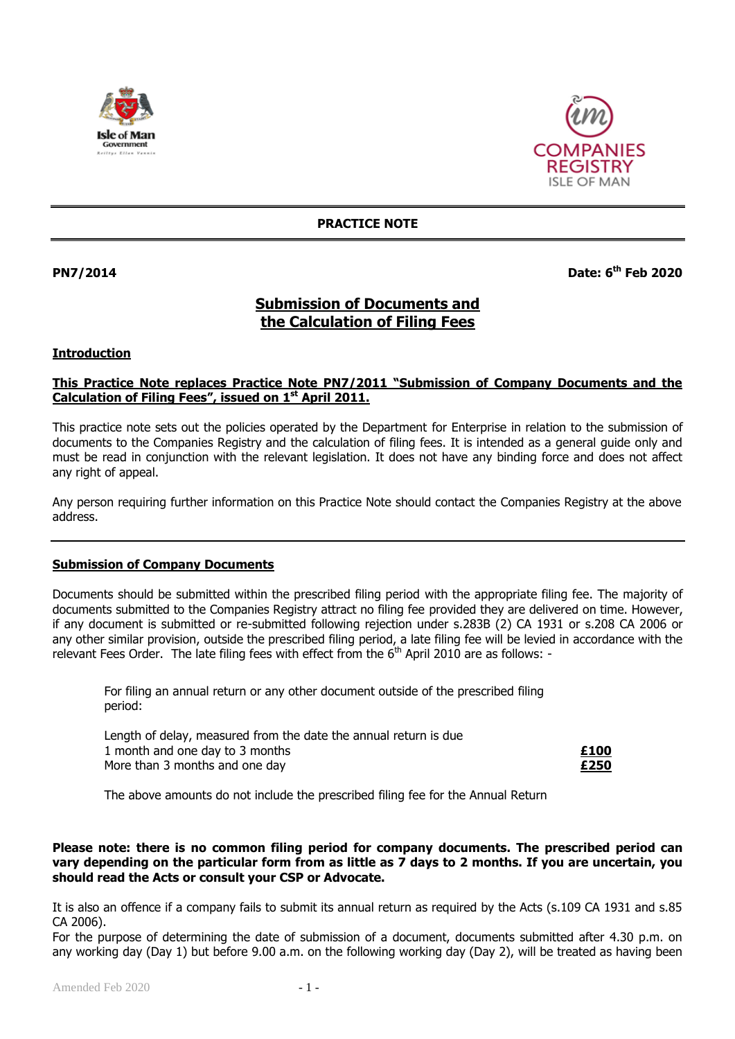



## **PRACTICE NOTE**

**PN7/2014** 

# **th Feb 2020**

# **Submission of Documents and the Calculation of Filing Fees**

#### **Introduction**

## **This Practice Note replaces Practice Note PN7/2011 "Submission of Company Documents and the Calculation of Filing Fees", issued on 1 st April 2011.**

This practice note sets out the policies operated by the Department for Enterprise in relation to the submission of documents to the Companies Registry and the calculation of filing fees. It is intended as a general guide only and must be read in conjunction with the relevant legislation. It does not have any binding force and does not affect any right of appeal.

Any person requiring further information on this Practice Note should contact the Companies Registry at the above address.

#### **Submission of Company Documents**

Documents should be submitted within the prescribed filing period with the appropriate filing fee. The majority of documents submitted to the Companies Registry attract no filing fee provided they are delivered on time. However, if any document is submitted or re-submitted following rejection under s.283B (2) CA 1931 or s.208 CA 2006 or any other similar provision, outside the prescribed filing period, a late filing fee will be levied in accordance with the relevant Fees Order. The late filing fees with effect from the  $6<sup>th</sup>$  April 2010 are as follows: -

For filing an annual return or any other document outside of the prescribed filing period:

| Length of delay, measured from the date the annual return is due |      |
|------------------------------------------------------------------|------|
| 1 month and one day to 3 months                                  | £100 |
| More than 3 months and one day                                   | £250 |

The above amounts do not include the prescribed filing fee for the Annual Return

#### **Please note: there is no common filing period for company documents. The prescribed period can vary depending on the particular form from as little as 7 days to 2 months. If you are uncertain, you should read the Acts or consult your CSP or Advocate.**

It is also an offence if a company fails to submit its annual return as required by the Acts (s.109 CA 1931 and s.85 CA 2006).

For the purpose of determining the date of submission of a document, documents submitted after 4.30 p.m. on any working day (Day 1) but before 9.00 a.m. on the following working day (Day 2), will be treated as having been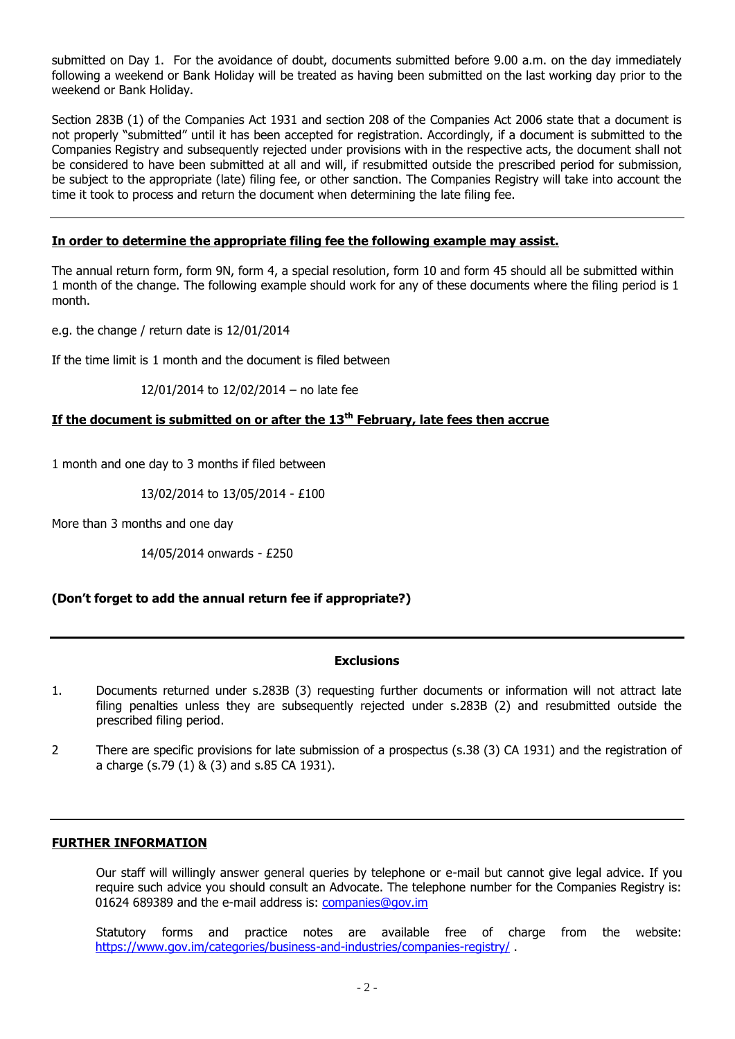submitted on Day 1. For the avoidance of doubt, documents submitted before 9.00 a.m. on the day immediately following a weekend or Bank Holiday will be treated as having been submitted on the last working day prior to the weekend or Bank Holiday.

Section 283B (1) of the Companies Act 1931 and section 208 of the Companies Act 2006 state that a document is not properly "submitted" until it has been accepted for registration. Accordingly, if a document is submitted to the Companies Registry and subsequently rejected under provisions with in the respective acts, the document shall not be considered to have been submitted at all and will, if resubmitted outside the prescribed period for submission, be subject to the appropriate (late) filing fee, or other sanction. The Companies Registry will take into account the time it took to process and return the document when determining the late filing fee.

## **In order to determine the appropriate filing fee the following example may assist.**

The annual return form, form 9N, form 4, a special resolution, form 10 and form 45 should all be submitted within 1 month of the change. The following example should work for any of these documents where the filing period is 1 month.

e.g. the change / return date is 12/01/2014

If the time limit is 1 month and the document is filed between

## 12/01/2014 to 12/02/2014 – no late fee

# **If the document is submitted on or after the 13th February, late fees then accrue**

1 month and one day to 3 months if filed between

13/02/2014 to 13/05/2014 - £100

More than 3 months and one day

14/05/2014 onwards - £250

# **(Don't forget to add the annual return fee if appropriate?)**

#### **Exclusions**

- 1. Documents returned under s.283B (3) requesting further documents or information will not attract late filing penalties unless they are subsequently rejected under s.283B (2) and resubmitted outside the prescribed filing period.
- 2 There are specific provisions for late submission of a prospectus (s.38 (3) CA 1931) and the registration of a charge (s.79 (1) & (3) and s.85 CA 1931).

# **FURTHER INFORMATION**

Our staff will willingly answer general queries by telephone or e-mail but cannot give legal advice. If you require such advice you should consult an Advocate. The telephone number for the Companies Registry is: 01624 689389 and the e-mail address is: [companies@gov.im](mailto:companies.registry@gov.im)

Statutory forms and practice notes are available free of charge from the website: <https://www.gov.im/categories/business-and-industries/companies-registry/>